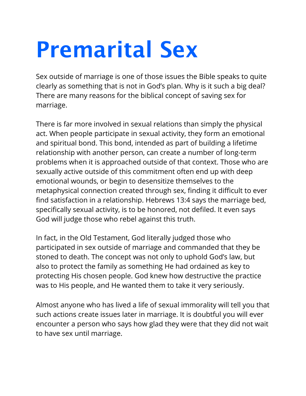## **Premarital Sex**

Sex outside of marriage is one of those issues the Bible speaks to quite clearly as something that is not in God's plan. Why is it such a big deal? There are many reasons for the biblical concept of saving sex for marriage.

There is far more involved in sexual relations than simply the physical act. When people participate in sexual activity, they form an emotional and spiritual bond. This bond, intended as part of building a lifetime relationship with another person, can create a number of long-term problems when it is approached outside of that context. Those who are sexually active outside of this commitment often end up with deep emotional wounds, or begin to desensitize themselves to the metaphysical connection created through sex, finding it difficult to ever find satisfaction in a relationship. Hebrews 13:4 says the marriage bed, specifically sexual activity, is to be honored, not defiled. It even says God will judge those who rebel against this truth.

In fact, in the Old Testament, God literally judged those who participated in sex outside of marriage and commanded that they be stoned to death. The concept was not only to uphold God's law, but also to protect the family as something He had ordained as key to protecting His chosen people. God knew how destructive the practice was to His people, and He wanted them to take it very seriously.

Almost anyone who has lived a life of sexual immorality will tell you that such actions create issues later in marriage. It is doubtful you will ever encounter a person who says how glad they were that they did not wait to have sex until marriage.